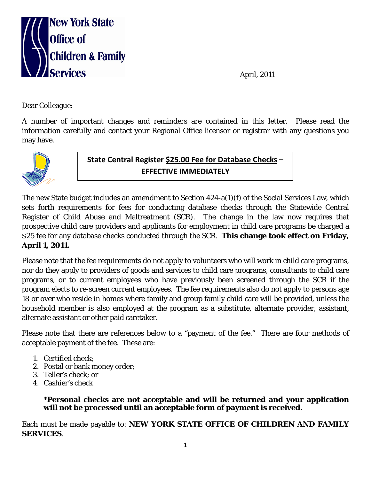

April, 2011

Dear Colleague:

A number of important changes and reminders are contained in this letter. Please read the information carefully and contact your Regional Office licensor or registrar with any questions you may have.



**State Central Register \$25.00 Fee for Database Checks – EFFECTIVE IMMEDIATELY**

The new State budget includes an amendment to Section 424-a(1)(f) of the Social Services Law, which sets forth requirements for fees for conducting database checks through the Statewide Central Register of Child Abuse and Maltreatment (SCR). The change in the law now requires that prospective child care providers and applicants for employment in child care programs be charged a \$25 fee for any database checks conducted through the SCR. **This change took effect on Friday, April 1, 2011.**

Please note that the fee requirements do not apply to volunteers who will work in child care programs, nor do they apply to providers of goods and services to child care programs, consultants to child care programs, or to current employees who have previously been screened through the SCR if the program elects to re-screen current employees. The fee requirements also do not apply to persons age 18 or over who reside in homes where family and group family child care will be provided, unless the household member is also employed at the program as a substitute, alternate provider, assistant, alternate assistant or other paid caretaker.

Please note that there are references below to a "payment of the fee." There are four methods of acceptable payment of the fee. These are:

- 1. Certified check;
- 2. Postal or bank money order;
- 3. Teller's check; or
- 4. Cashier's check

## **\*Personal checks are not acceptable and will be returned and your application will not be processed until an acceptable form of payment is received.**

Each must be made payable to: **NEW YORK STATE OFFICE OF CHILDREN AND FAMILY SERVICES**.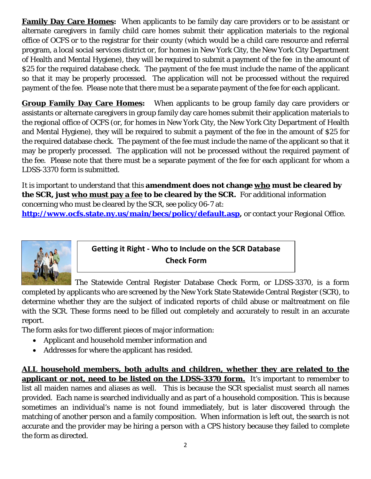**Family Day Care Homes:** When applicants to be family day care providers or to be assistant or alternate caregivers in family child care homes submit their application materials to the regional office of OCFS or to the registrar for their county (which would be a child care resource and referral program, a local social services district or, for homes in New York City, the New York City Department of Health and Mental Hygiene), they will be required to submit a payment of the fee in the amount of \$25 for the required database check. The payment of the fee must include the name of the applicant so that it may be properly processed. The application will not be processed without the required payment of the fee. Please note that there must be a separate payment of the fee for each applicant.

**Group Family Day Care Homes:** When applicants to be group family day care providers or assistants or alternate caregivers in group family day care homes submit their application materials to the regional office of OCFS (or, for homes in New York City, the New York City Department of Health and Mental Hygiene), they will be required to submit a payment of the fee in the amount of \$25 for the required database check. The payment of the fee must include the name of the applicant so that it may be properly processed. The application will not be processed without the required payment of the fee. Please note that there must be a separate payment of the fee for each applicant for whom a LDSS-3370 form is submitted.

It is important to understand that this **amendment does not change who must be cleared by the SCR, just who must pay a fee to be cleared by the SCR.** For additional information concerning who must be cleared by the SCR, see policy 06-7 at: **[http://www.ocfs.state.ny.us/main/becs/policy/default.asp,](http://www.ocfs.state.ny.us/main/becs/policy/default.asp)** or contact your Regional Office.

**Getting it Right - Who to Include on the SCR Database Check Form**

The Statewide Central Register Database Check Form, or LDSS-3370, is a form completed by applicants who are screened by the New York State Statewide Central Register (SCR), to determine whether they are the subject of indicated reports of child abuse or maltreatment on file with the SCR. These forms need to be filled out completely and accurately to result in an accurate report.

The form asks for two different pieces of major information:

- Applicant and household member information and
- Addresses for where the applicant has resided.

**ALL household members, both adults and children, whether they are related to the applicant or not, need to be listed on the LDSS-3370 form.** It's important to remember to list all maiden names and aliases as well. This is because the SCR specialist must search all names provided. Each name is searched individually and as part of a household composition. This is because sometimes an individual's name is not found immediately, but is later discovered through the matching of another person and a family composition. When information is left out, the search is not accurate and the provider may be hiring a person with a CPS history because they failed to complete the form as directed.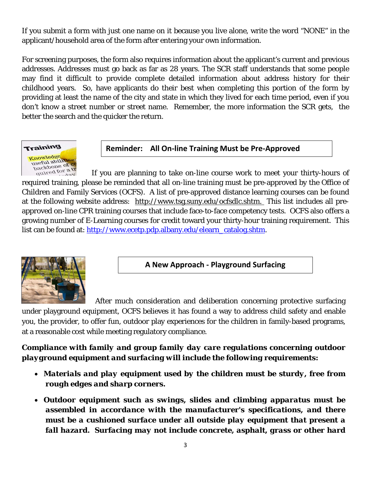If you submit a form with just one name on it because you live alone, write the word "NONE" in the applicant/household area of the form after entering your own information.

For screening purposes, the form also requires information about the applicant's current and previous addresses. Addresses must go back as far as 28 years. The SCR staff understands that some people may find it difficult to provide complete detailed information about address history for their childhood years. So, have applicants do their best when completing this portion of the form by providing at least the name of the city and state in which they lived for each time period, even if you don't know a street number or street name. Remember, the more information the SCR gets, the better the search and the quicker the return.



**Reminder: All On-line Training Must be Pre-Approved**

 If you are planning to take on-line course work to meet your thirty-hours of required training, please be reminded that all on-line training must be pre-approved by the Office of Children and Family Services (OCFS). A list of pre-approved distance learning courses can be found at the following website address: [http://www.tsg.suny.edu/ocfsdlc.shtm.](http://www.tsg.suny.edu/ocfsdlc.shtm) This list includes all preapproved on-line CPR training courses that include face-to-face competency tests. OCFS also offers a growing number of E-Learning courses for credit toward your thirty-hour training requirement. This list can be found at: [http://www.ecetp.pdp.albany.edu/elearn\\_catalog.shtm.](http://www.ecetp.pdp.albany.edu/elearn_catalog.shtm)



**A New Approach - Playground Surfacing** 

After much consideration and deliberation concerning protective surfacing

under playground equipment, OCFS believes it has found a way to address child safety and enable you, the provider, to offer fun, outdoor play experiences for the children in family-based programs, at a reasonable cost while meeting regulatory compliance.

*Compliance with family and group family day care regulations concerning outdoor playground equipment and surfacing will include the following requirements:*

- *Materials and play equipment used by the children must be sturdy, free from rough edges and sharp corners.*
- *Outdoor equipment such as swings, slides and climbing apparatus must be assembled in accordance with the manufacturer's specifications, and there must be a cushioned surface under all outside play equipment that present a fall hazard. Surfacing may not include concrete, asphalt, grass or other hard*